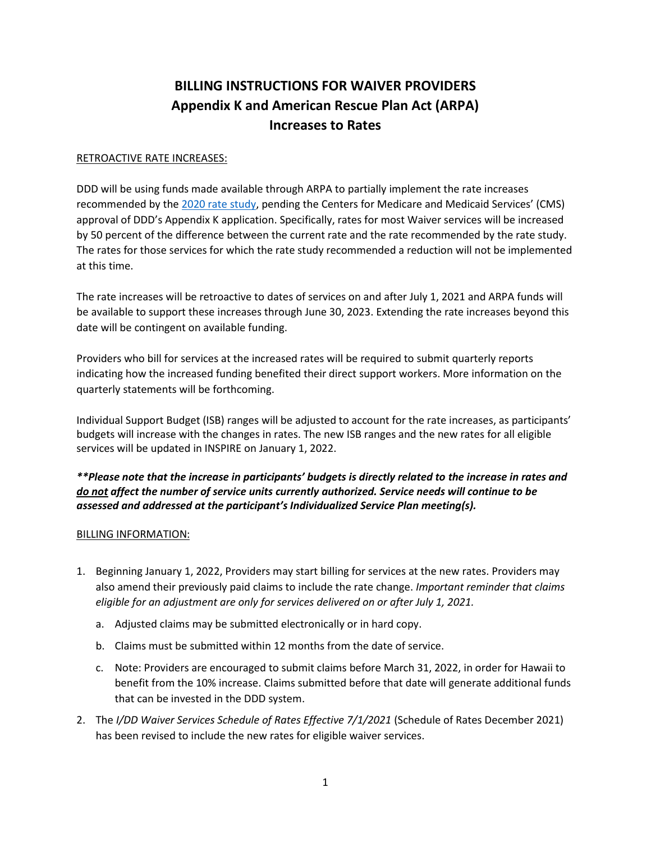## **BILLING INSTRUCTIONS FOR WAIVER PROVIDERS Appendix K and American Rescue Plan Act (ARPA) Increases to Rates**

## RETROACTIVE RATE INCREASES:

DDD will be using funds made available through ARPA to partially implement the rate increases recommended by the [2020 rate study,](https://health.hawaii.gov/ddd/files/2021/05/DD-Waiver-Rate-Models.pdf) pending the Centers for Medicare and Medicaid Services' (CMS) approval of DDD's Appendix K application. Specifically, rates for most Waiver services will be increased by 50 percent of the difference between the current rate and the rate recommended by the rate study. The rates for those services for which the rate study recommended a reduction will not be implemented at this time.

The rate increases will be retroactive to dates of services on and after July 1, 2021 and ARPA funds will be available to support these increases through June 30, 2023. Extending the rate increases beyond this date will be contingent on available funding.

Providers who bill for services at the increased rates will be required to submit quarterly reports indicating how the increased funding benefited their direct support workers. More information on the quarterly statements will be forthcoming.

Individual Support Budget (ISB) ranges will be adjusted to account for the rate increases, as participants' budgets will increase with the changes in rates. The new ISB ranges and the new rates for all eligible services will be updated in INSPIRE on January 1, 2022.

*\*\*Please note that the increase in participants' budgets is directly related to the increase in rates and do not affect the number of service units currently authorized. Service needs will continue to be assessed and addressed at the participant's Individualized Service Plan meeting(s).*

## BILLING INFORMATION:

- 1. Beginning January 1, 2022, Providers may start billing for services at the new rates. Providers may also amend their previously paid claims to include the rate change. *Important reminder that claims eligible for an adjustment are only for services delivered on or after July 1, 2021.* 
	- a. Adjusted claims may be submitted electronically or in hard copy.
	- b. Claims must be submitted within 12 months from the date of service.
	- c. Note: Providers are encouraged to submit claims before March 31, 2022, in order for Hawaii to benefit from the 10% increase. Claims submitted before that date will generate additional funds that can be invested in the DDD system.
- 2. The *I/DD Waiver Services Schedule of Rates Effective 7/1/2021* (Schedule of Rates December 2021) has been revised to include the new rates for eligible waiver services.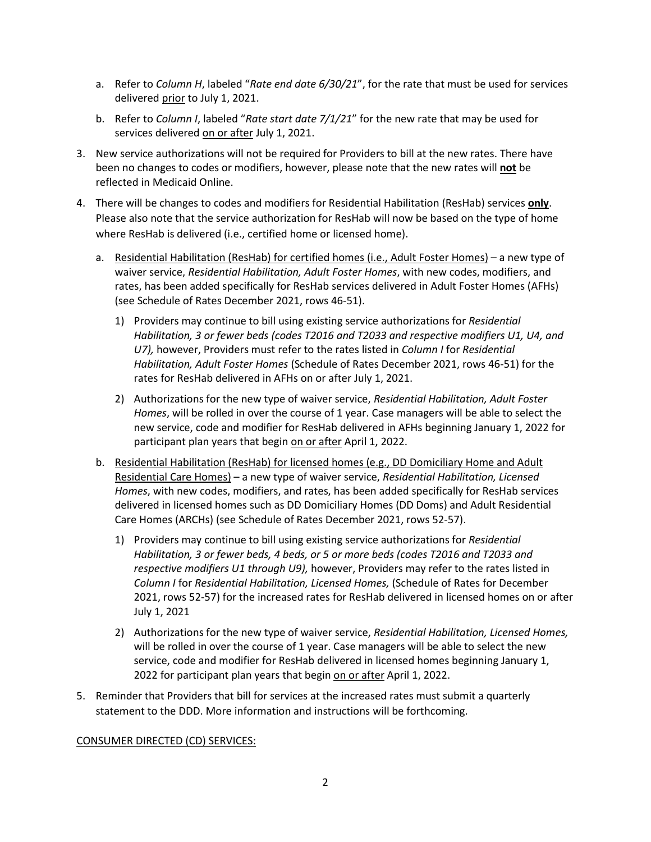- a. Refer to *Column H*, labeled "*Rate end date 6/30/21*", for the rate that must be used for services delivered prior to July 1, 2021.
- b. Refer to *Column I*, labeled "*Rate start date 7/1/21*" for the new rate that may be used for services delivered on or after July 1, 2021.
- 3. New service authorizations will not be required for Providers to bill at the new rates. There have been no changes to codes or modifiers, however, please note that the new rates will **not** be reflected in Medicaid Online.
- 4. There will be changes to codes and modifiers for Residential Habilitation (ResHab) services **only**. Please also note that the service authorization for ResHab will now be based on the type of home where ResHab is delivered (i.e., certified home or licensed home).
	- a. Residential Habilitation (ResHab) for certified homes (i.e., Adult Foster Homes) a new type of waiver service, *Residential Habilitation, Adult Foster Homes*, with new codes, modifiers, and rates, has been added specifically for ResHab services delivered in Adult Foster Homes (AFHs) (see Schedule of Rates December 2021, rows 46-51).
		- 1) Providers may continue to bill using existing service authorizations for *Residential Habilitation, 3 or fewer beds (codes T2016 and T2033 and respective modifiers U1, U4, and U7),* however, Providers must refer to the rates listed in *Column I* for *Residential Habilitation, Adult Foster Homes* (Schedule of Rates December 2021, rows 46-51) for the rates for ResHab delivered in AFHs on or after July 1, 2021.
		- 2) Authorizations for the new type of waiver service, *Residential Habilitation, Adult Foster Homes*, will be rolled in over the course of 1 year. Case managers will be able to select the new service, code and modifier for ResHab delivered in AFHs beginning January 1, 2022 for participant plan years that begin on or after April 1, 2022.
	- b. Residential Habilitation (ResHab) for licensed homes (e.g., DD Domiciliary Home and Adult Residential Care Homes) – a new type of waiver service, *Residential Habilitation, Licensed Homes*, with new codes, modifiers, and rates, has been added specifically for ResHab services delivered in licensed homes such as DD Domiciliary Homes (DD Doms) and Adult Residential Care Homes (ARCHs) (see Schedule of Rates December 2021, rows 52-57).
		- 1) Providers may continue to bill using existing service authorizations for *Residential Habilitation, 3 or fewer beds, 4 beds, or 5 or more beds (codes T2016 and T2033 and respective modifiers U1 through U9),* however, Providers may refer to the rates listed in *Column I* for *Residential Habilitation, Licensed Homes,* (Schedule of Rates for December 2021, rows 52-57) for the increased rates for ResHab delivered in licensed homes on or after July 1, 2021
		- 2) Authorizations for the new type of waiver service, *Residential Habilitation, Licensed Homes,* will be rolled in over the course of 1 year. Case managers will be able to select the new service, code and modifier for ResHab delivered in licensed homes beginning January 1, 2022 for participant plan years that begin on or after April 1, 2022.
- 5. Reminder that Providers that bill for services at the increased rates must submit a quarterly statement to the DDD. More information and instructions will be forthcoming.

## CONSUMER DIRECTED (CD) SERVICES: